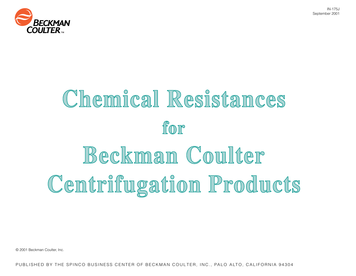



# Chemical Resistances for Beckman Coulter Centrifugation Products

© 2001 Beckman Coulter, Inc.

PUBLISHED BY THE SPINCO BUSINESS CENTER OF BECKMAN COULTER, INC., PALO ALTO, CALIFORNIA 94304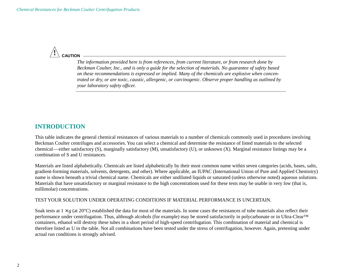

*The information provided here is from references, from current literature, or from research done by Beckman Coulter, Inc., and is only a guide for the selection of materials. No guarantee of safety based on these recommendations is expressed or implied. Many of the chemicals are explosive when concentrated or dry, or are toxic, caustic, allergenic, or carcinogenic. Observe proper handling as outlined by your laboratory safety officer.*

# **INTRODUCTION**

This table indicates the general chemical resistances of various materials to a number of chemicals commonly used in procedures involving Beckman Coulter centrifuges and accessories. You can select a chemical and determine the resistance of listed materials to the selected chemical—either satisfactory (S), marginally satisfactory (M), unsatisfactory (U), or unknown (X). Marginal resistance listings may be a combination of S and U resistances.

Materials are listed alphabetically. Chemicals are listed alphabetically by their most common name within seven categories (acids, bases, salts, gradient-forming materials, solvents, detergents, and other). Where applicable, an IUPAC (International Union of Pure and Applied Chemistry) name is shown beneath a trivial chemical name. Chemicals are either undiluted liquids or saturated (unless otherwise noted) aqueous solutions. Materials that have unsatisfactory or marginal resistance to the high concentrations used for these tests may be usable in very low (that is, millimolar) concentrations.

#### TEST YOUR SOLUTION UNDER OPERATING CONDITIONS IF MATERIAL PERFORMANCE IS UNCERTAIN.

Soak tests at  $1 \times g$  (at 20 $^{\circ}$ C) established the data for most of the materials. In some cases the resistances of tube materials also reflect their performance under centrifugation. Thus, although alcohols (for example) may be stored satisfactorily in polycarbonate or in Ultra-Clear™ containers, ethanol will destroy these tubes in a short period of high-speed centrifugation. This combination of material and chemical is therefore listed as U in the table. Not all combinations have been tested under the stress of centrifugation, however. Again, pretesting under actual run conditions is strongly advised.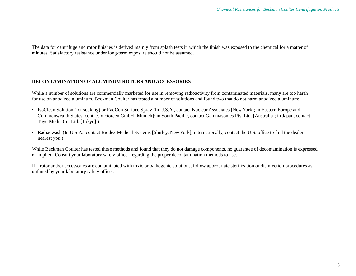The data for centrifuge and rotor finishes is derived mainly from splash tests in which the finish was exposed to the chemical for a matter of minutes. Satisfactory resistance under long-term exposure should not be assumed.

### **DECONTAMINATION OF ALUMINUM ROTORS AND ACCESSORIES**

While a number of solutions are commercially marketed for use in removing radioactivity from contaminated materials, many are too harsh for use on anodized aluminum. Beckman Coulter has tested a number of solutions and found two that do not harm anodized aluminum:

- IsoClean Solution (for soaking) or RadCon Surface Spray (In U.S.A., contact Nuclear Associates [New York]; in Eastern Europe and Commonwealth States, contact Victoreen GmbH [Munich]; in South Pacific, contact Gammasonics Pty. Ltd. [Australia]; in Japan, contact Toyo Medic Co. Ltd. [Tokyo].)
- Radiacwash (In U.S.A., contact Biodex Medical Systems [Shirley, New York]; internationally, contact the U.S. office to find the dealer nearest you.)

While Beckman Coulter has tested these methods and found that they do not damage components, no guarantee of decontamination is expressed or implied. Consult your laboratory safety officer regarding the proper decontamination methods to use.

If a rotor and/or accessories are contaminated with toxic or pathogenic solutions, follow appropriate sterilization or disinfection procedures as outlined by your laboratory safety officer.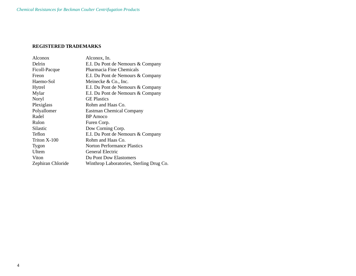## **REGISTERED TRADEMARKS**

| Alconox           | Alconox, In.                             |
|-------------------|------------------------------------------|
| Delrin            | E.I. Du Pont de Nemours & Company        |
| Ficoll-Pacque     | Pharmacia Fine Chemicals                 |
| Freon             | E.I. Du Pont de Nemours & Company        |
| Haemo-Sol         | Meinecke & Co., Inc.                     |
| Hytrel            | E.I. Du Pont de Nemours & Company        |
| Mylar             | E.I. Du Pont de Nemours & Company        |
| Noryl             | <b>GE</b> Plastics                       |
| Plexiglass        | Rohm and Haas Co.                        |
| Polyallomer       | <b>Eastman Chemical Company</b>          |
| Radel             | <b>BP</b> Amoco                          |
| Rulon             | Furen Corp.                              |
| Silastic          | Dow Corning Corp.                        |
| Teflon            | E.I. Du Pont de Nemours & Company        |
| Triton X-100      | Rohm and Haas Co.                        |
| <b>Tygon</b>      | <b>Norton Performance Plastics</b>       |
| Ultem             | General Electric                         |
| Viton             | Du Pont Dow Elastomers                   |
| Zephiran Chloride | Winthrop Laboratories, Sterling Drug Co. |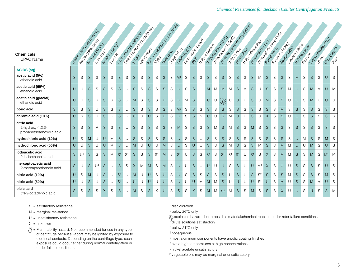| <b>Chemicals</b><br><b>IUPAC Name</b>                        |              |                |              | Lege da Daniel de Colombia<br>autricia de LOS<br><b>PASSERIAGE</b> | andococogings |        |                |                |          | loadistraction of population<br>Codomic degradores |              |                | Book to the Marian Condoos |   | <b>Lootingo</b> | 2405-6560 | David Hamburgan |        | I POLSCONS RDS | Policities and Rich<br>Population Rd Doc |                |                |                | looking to the cooperation<br>I Doubleton British |                | loadside contractor<br>Polyderate Railry |              | Rubor (Capo) |              | A Silicopre River<br>Sized Critics |              | Stription of Go<br><b>HOOMITE</b> |              | Mooree History PD |                | Urico Cleart<br>$-2i\zeta$ |
|--------------------------------------------------------------|--------------|----------------|--------------|--------------------------------------------------------------------|---------------|--------|----------------|----------------|----------|----------------------------------------------------|--------------|----------------|----------------------------|---|-----------------|-----------|-----------------|--------|----------------|------------------------------------------|----------------|----------------|----------------|---------------------------------------------------|----------------|------------------------------------------|--------------|--------------|--------------|------------------------------------|--------------|-----------------------------------|--------------|-------------------|----------------|----------------------------|
| <b>ACIDS</b> (aq)<br>acetic acid (5%)<br>ethanoic acid       | S            | S              | S            | S                                                                  | S             | S      | S              | S              | S.       | S                                                  | S            | S              | S                          | S | M <sup>1</sup>  | S         | <sub>S</sub>    | S      | S              | S                                        | S              | S              | S              | S                                                 | <sub>S</sub>   | M                                        | S            | S            | S            | S                                  | M            | S                                 | <sub>S</sub> | S                 | U              | S                          |
| acetic acid (60%)<br>ethanoic acid                           | $\cup$       | U              | S            | S                                                                  | S             | S      | S              | U              | S        | S                                                  | <sub>S</sub> | S              | S                          | S | U               | S         | <sub>S</sub>    | U      | M              | M                                        | M              | M              | S              | M                                                 | <sub>S</sub>   | U                                        | <sub>S</sub> | S            | S            | M                                  | U            | S                                 | M            | M                 | $\cup$         | <b>M</b>                   |
| acetic acid (glacial)<br>ethanoic acid                       | $\cup$       | U              | S            | S                                                                  | $\mathbf S$   | S      | $\mathsf S$    | U              | M        | S                                                  | $\mathsf S$  | S              | U                          | S | U               | M         | $\mathsf S$     | U      | $\cup$         | U                                        | <b>MAY</b>     | $\cup$         | $\cup$         | U                                                 | S.             | U                                        | M            | S            | S            | U                                  | U            | S                                 | M            | U                 | U              | $\cup$                     |
| boric acid                                                   | $\mathsf S$  | S              | S            | U                                                                  | $\mathsf S$   | S      | $\mathsf S$    | U              | S        | $\mathbb S$                                        | $\mathsf S$  | S              | $\mathsf S$                | S | M <sup>8</sup>  | S         | $\mathsf S$     | S      | $\mathsf S$    | S                                        | $\mathsf S$    | S              | $\mathsf S$    | ${\mathsf S}$                                     | S              | S                                        | $\mathsf S$  | S            | M            | S                                  | $\mathsf S$  | S                                 | S            | S                 | $\mathsf S$    | S                          |
| chromic acid (10%)                                           | $\cup$       | S              | S.           | U                                                                  | S             | $\cup$ | <sub>S</sub>   | U              | U        | U                                                  | $\cup$       | S              | $\cup$                     | S | $\cup$          | S         | <sub>S</sub>    | S      | $\cup$         | U                                        | <sub>S</sub>   | M              | U              | U                                                 | S.             | U                                        | $\times$     | S            | <sub>S</sub> | U                                  | $\cup$       | S                                 | S.           | S                 | <sub>S</sub>   | S                          |
| citric acid<br>2-hydroxy-1,2,3-<br>propanetricarboxylic acid | S            | ${\mathbb S}$  | S            | M                                                                  | S             | S      | S              | U              | S.       | S                                                  | S            | S              | $\mathsf S$                | S | M               | S         | S               | S      | S              | M                                        | S              | M              | S              | S                                                 | M              | S                                        | S            | S            | S            | S                                  | S            | S                                 | S.           | S                 | S              | S                          |
| hydrochloric acid (10%)                                      | $\cup$       | S              | M            | U                                                                  | $\cup$        | M      | S              | U              | S.       | $\mathbb S$                                        | S            | S              | $\mathsf S$                | S | $\cup$          | S         | S               | U      | S              | S                                        | $\mathsf S$    | S              | $\mathsf S$    | S                                                 | S              | S                                        | S            | S            | S            | S                                  | U            | M                                 | S.           | S                 | M              | S                          |
| hydrochloric acid (50%)                                      | $\cup$       | $\cup$         | S.           | U                                                                  | $\cup$        | M      | <sub>S</sub>   | $\cup$         | M        | U                                                  | $\cup$       | U              | M                          | S | U               | S         | U               | $\cup$ | S              | S                                        | S.             | M              | $\mathsf S$    | S                                                 | S.             | M                                        | <sub>S</sub> | S            | M            | M                                  | U            | U                                 | M            | S                 | U              | S.                         |
| iodoacetic acid<br>2-iodoethanoic acid                       | <sub>S</sub> | U <sup>1</sup> | S            | S                                                                  | S             | M      | S <sup>1</sup> | S <sup>1</sup> | S.       | S                                                  | <sub>S</sub> | S <sup>1</sup> | M                          | S | S <sup>1</sup>  | U         | <sub>S</sub>    | S      | S <sup>1</sup> | S                                        | S <sup>1</sup> | S <sup>1</sup> | S <sup>1</sup> | U                                                 | S <sup>1</sup> | S                                        | $\times$     | S            | M            | M                                  | S            | S                                 | M            | S                 | M <sup>1</sup> | <b>M</b>                   |
| mercaptoacetic acid<br>2-mercaptoethanoic acid               | <sub>S</sub> | U              | S            | U <sup>4</sup>                                                     | S             | U      | S              | S              | $\times$ | M                                                  | M            | S              | M                          | S | $\cup$          | $\cup$    | <sub>S</sub>    | U      | U              | U                                        | $\cup$         | S              | S              | U                                                 | U              | M <sup>1</sup>                           | $\times$     | S            | U            | U                                  | <sub>S</sub> | S                                 | S.           | S                 | U              | S.                         |
| nitric acid (10%)                                            | $\cup$       | S              | M            | U                                                                  | S             | U      | S <sup>1</sup> | U              | M        | U                                                  | U            | S              | $\cup$                     | S | U               | S         | S               | S      | $\mathsf S$    | S                                        | $\mathsf S$    | U              | $\mathsf S$    | U                                                 | S              | S <sup>2</sup>                           | $\mathsf S$  | S            | $\mathsf S$  | M                                  | $\mathsf S$  | S                                 | S            | S                 | M              | S                          |
| nitric acid (50%)                                            | $\cup$       | U              | $\mathsf S$  | U                                                                  | S             | U      | S <sup>1</sup> | U              | U        | U                                                  | $\cup$       | U              | U                          | S | U               | U         | U               | M      | M              | M                                        | <sub>S</sub>   | U              | U              | U                                                 | $\cup$         | S <sup>2</sup>                           | U            | S            | M            | U                                  | <sub>S</sub> | S                                 | M            | M                 | $\cup$         | S.                         |
| oleic acid<br>cis-9-octadenoic acid                          | <sub>S</sub> | S              | <sub>S</sub> | S                                                                  | $\times$      | S      | S              | U              | M        | S                                                  | S            | X              | U                          | S | S               | S         | $\times$        | S      | M              | M                                        | S <sup>2</sup> | M              | S.             | S                                                 | M              | S                                        | <sub>S</sub> | S            | $\times$     | U                                  | U            | S                                 | U            | S                 | <sub>S</sub>   | M                          |

M = marginal resistance

- $U =$  unsatisfactory resistance
- $X =$  unknown
- $\mathcal{P}$  = Flammability hazard. Not recommended for use in any type of centrifuge because vapors may be ignited by exposure to electrical contacts. Depending on the centrifuge type, such exposure could occur either during normal centrifugation or under failure conditions.

1discloloration

2below 26°C only

explosion hazard due to possible material/chemical reaction under rotor failure conditions 3

- 4dilute solutions satisfactory
- 5below 21°C only

<sup>6</sup> nonaqueous

7most aluminum components have anodic coating finishes

<sup>8</sup> avoid high temperatures at high concentrations

<sup>9</sup> nickel acetate unsatisfactory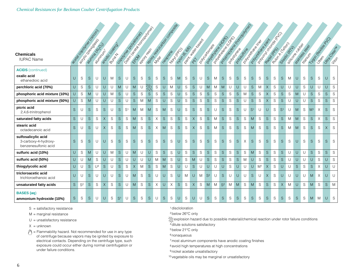#### **Chemicals**

|                                                                     |             |                |               | I assault of the Colorador                              |               |                              | Codomne de Brazilia |                | Deixier Register Doctors Register |             | Book de Michigan Concrete |               |             |                       |                |                              |             |                    |                |                                         | looking to the company of |             |             |               |                | Popular checke                          |             |               |                |                                   |                 |                    |                |          |                                     |              |
|---------------------------------------------------------------------|-------------|----------------|---------------|---------------------------------------------------------|---------------|------------------------------|---------------------|----------------|-----------------------------------|-------------|---------------------------|---------------|-------------|-----------------------|----------------|------------------------------|-------------|--------------------|----------------|-----------------------------------------|---------------------------|-------------|-------------|---------------|----------------|-----------------------------------------|-------------|---------------|----------------|-----------------------------------|-----------------|--------------------|----------------|----------|-------------------------------------|--------------|
| <b>Chemicals</b><br><b>IUPAC Name</b>                               |             |                |               | a control details<br>Pulitica (PLO)<br><b>PATTERWAY</b> |               | andoccoming<br><b>POUTER</b> |                     |                |                                   |             |                           |               |             |                       | <b>Looming</b> | David Hamburgan<br>2405-6500 |             | i oo control marie |                | Population Road R.<br>Population Rd Adv |                           |             |             |               |                | Polyderaceologic<br>A Doubleton British |             |               | Rubor (East    | A Silicope Richard<br>Sized Crazy | Stripegg Street | <b>Hitler City</b> |                |          | Troo meetings and<br>Unito Cleaning |              |
| <b>ACIDS</b> (continued)<br>oxalic acid<br>ethanedioic acid         | U           | S              | S             | U                                                       | U             | M                            | S.                  | $\cup$         | S.                                | S           | S                         | S             | S           | S                     | M              | S                            | S           | U                  | S              | M                                       | <sub>S</sub>              | S           | S           | S             | S              | S                                       | S           | S             | S              | M                                 | U               | S                  | <sub>S</sub>   | S        | U                                   | <sub>S</sub> |
| perchloric acid (70%)                                               | U           | S              | ${\mathsf S}$ | U                                                       | U             | U                            | M                   | U              | M                                 | U           | 淡                         | ${\mathsf S}$ | U           | M                     | U              | S                            | $\mathsf S$ | U                  | M              | M                                       | M                         | U           | U           | U             | S              | M                                       | $\times$    | S             | U              | U                                 | U               | S                  | $\cup$         | $\cup$   | $\cup$                              | S            |
| phosphoric acid mixture (10%)                                       | U           | S              | M             | U                                                       | U             | M                            | S.                  | U              | S.                                | S           | S                         | S             | S           | S                     | U              | S                            | $\mathbf S$ | S                  | ${\mathsf S}$  | S                                       | S                         | $\mathbb S$ | $\mathsf S$ | M             | $\mathsf S$    | S                                       | $\times$    | S             | $\mathsf S$    | S                                 | M               | U                  | S.             | S        | $\mathsf S$                         | S            |
| phosphoric acid mixture (50%)                                       | U           | S              | M             | U                                                       | U             | U                            | $\mathbf S$         | $\cup$         | S.                                | M           | M                         | S             | $\cup$      | S                     | $\cup$         | S                            | $\mathbf S$ | S                  | $\mathbf S$    | $\mathbb S$                             | $\mathsf S$               | $\mathsf S$ | $\mathsf S$ | U             | S              | $\mathbb S$                             | $\times$    | S             | $\mathsf S$    | U                                 | U               | U                  | S.             | S        | $\mathsf S$                         | $\mathsf S$  |
| picric acid<br>2,4,6-trinitrophenol                                 | S           | U              | S             | S                                                       | S             | U                            | S                   | S <sup>1</sup> | M                                 | M           | M                         | S             | M           | S                     | U              | S                            | S           | S                  | S              | U                                       | S                         | S           | S           | U             | S <sup>1</sup> | U                                       | U           | S             | S <sup>1</sup> | U                                 | M               | S                  | M <sup>1</sup> | $\times$ | <sub>S</sub>                        | S            |
| saturated fatty acids                                               | S           | U              | $\mathbf S$   | S                                                       | $\mathsf X$   | S                            | $\mathsf S$         | $\mathbb S$    | M                                 | S           | S                         | X             | $\mathsf S$ | ${\mathsf S}$         | $\mathsf S$    | $\mathbf S$                  | X           | $\mathsf S$        | $\mathsf S$    | M                                       | $\mathsf S$               | $\mathsf S$ | $\mathsf S$ | ${\mathsf S}$ | M              | ${\mathsf S}$                           | $\mathbf S$ | $\mathsf S$   | $\mathsf S$    | M                                 | M               | $\mathbf S$        | $\mathsf S$    | X        | S                                   | S            |
| stearic acid<br>octadecanoic acid                                   | S           | U              | S             | U                                                       | X             | S                            | S                   | S              | M                                 | S           | <sub>S</sub>              | Χ             | M           | S                     | S.             | S                            | $\times$    | S                  | S              | M                                       | <sub>S</sub>              | S           | S           | S             | M              | S                                       | S           | S             | S              | M                                 | M               | S                  | <sub>S</sub>   | S        | $\times$                            | S            |
| sulfosalicylic acid<br>3-carboxy-4-hydroxy-<br>benzenesulfonic acid | S           | S              | S             | U                                                       | U             | S                            | S                   | S              | S                                 | S           | S                         | S             | S           | S                     | U              | S                            | S           | S                  | S              | S                                       | S                         | S           | S           | X             | S              | S                                       | S           | S             | S              | S                                 | U               | S                  | S              | S        | S                                   | S            |
| sulfuric acid (10%)                                                 | U           | S              | M             | U                                                       | U             | M                            | $\mathbf S$         | U              | M                                 | U           | U                         | S             | S           | S                     | U              | $\mathbf S$                  | $\mathbf S$ | S                  | $\mathbf S$    | S                                       | $\mathsf S$               | $\mathsf S$ | $\mathsf S$ | S             | M              | $\mathbb S$                             | $\mathbf S$ | S             | $\mathsf S$    | U                                 | U               | U                  | $\mathsf S$    | S        | S                                   | S            |
| sulfuric acid (50%)                                                 | $\cup$      | U              | M             | S                                                       | U             | $\cup$                       | $\mathsf S$         | U              | U                                 | $\cup$      | $\cup$                    | M             | M           | ${\mathsf S}$         | U              | $\mathbf S$                  | ${\sf M}$   | U                  | $\mathbf S$    | S                                       | $\mathsf S$               | $\mathbb S$ | $\mathsf S$ | M             | U              | S                                       | $\mathsf S$ | $\mathsf S$   | $\mathbf S$    | $\cup$                            | U               | U                  | $\cup$         | S        | $\cup$                              | S            |
| thiogylycolic acid                                                  | U           | $\cup$         | $\mathbf S$   | U <sup>4</sup>                                          | ${\mathsf S}$ | U                            | $\mathsf S$         | ${\mathbb S}$  | X                                 | M           | $\mathsf S$               | S             | M           | S                     | U              | U                            | $\mathbf S$ | U                  | U              | U                                       | $\cup$                    | $\mathbb S$ | U           | U             | U              | M <sup>1</sup>                          | X           | S             | U              | U                                 | <sub>S</sub>    | $\mathbb S$        | $\mathsf S$    | Χ        | $\cup$                              | $\cup$       |
| tricloroacetic acid<br>trichloroethanoic acid                       | U           | U              | S             | U                                                       | U             | $\cup$                       | S                   | U              | M                                 | S           | <sub>S</sub>              | U             | $\cup$      | S                     | $\cup$         | M                            | U           | M                  | S <sup>2</sup> | U                                       | <sub>S</sub>              | U           | $\cup$      | U             | <sub>S</sub>   | U                                       | X           | S             | U              | $\cup$                            | U               | U                  | M              | $\times$ | $\cup$                              | $\cup$       |
| unsaturated fatty acids                                             | S           | $\mathbb{S}^2$ | ${\mathsf S}$ | $\mathbb S$                                             | $\mathsf X$   | S                            | $\mathsf S$         | U              | M                                 | S           | $\mathsf S$               | $\times$      | $\cup$      | $\boldsymbol{\times}$ | $\mathsf S$    | S                            | $\times$    | S                  | M              | M                                       | S <sup>2</sup>            | M           | M           | S             | M              | S                                       | $\mathbf S$ | $\mathbb S$   | $\times$       | M                                 | $\cup$          | S                  | M              | S        | S                                   | M            |
| <b>BASES</b> (aq)<br>ammonium hydroxide (10%)                       | $\mathbb S$ | ${\mathbb S}$  | $\mathbb S$   | U                                                       | U             | $\mathsf S$                  | S <sup>1</sup>      | U              | $\mathsf S$                       | $\mathbb S$ | $\mathsf S$               | U             | $\mathsf S$ | S                     | U              | S                            | U           | U                  | $\mathsf S$    | ${\mathbb S}$                           | S                         | $\mathbb S$ | $\mathsf S$ | S             | $\mathbf S$    | S                                       | $\mathsf S$ | ${\mathbb S}$ | S              | ${\mathbb S}$                     | S               | $\mathbb S$        | M              | M        | U                                   | S            |

S = satisfactory resistance

 $M =$  marginal resistance

 $U =$  unsatisfactory resistance

 $X =$  unknown

 $\sqrt{9}$  = Flammability hazard. Not recommended for use in any type of centrifuge because vapors may be ignited by exposure to electrical contacts. Depending on the centrifuge type, such exposure could occur either during normal centrifugation or under failure conditions.

1discloloration

2below 26°C only

explosion hazard due to possible material/chemical reaction under rotor failure conditions 3

4dilute solutions satisfactory

5below 21°C only

<sup>6</sup> nonaqueous

7most aluminum components have anodic coating finishes

<sup>8</sup> avoid high temperatures at high concentrations

<sup>9</sup> nickel acetate unsatisfactory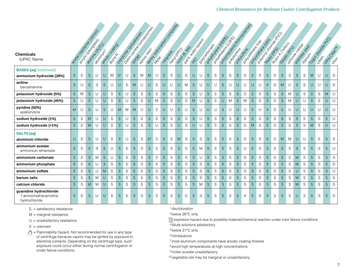| <b>Chemicals</b>                                                 |              | I assault of the Cooper<br>a control desiros |             | a Limited Branch     |             | andococococindo |                | Deliver design control political<br>Codomic degrades |              |               |                |             | Book de discharge of company |   |                 |             | David Hamburgan |             | I Donovador | Policitive Report |              | I Don't real page of Disc |               | looking to the cooperation<br>l Doubleton British |              | looking created as<br>Polyderate Railway |              | Rubert Clapes |             | I sizione chichoge |             | Stripegg organ   |             |   | 11 contraction and |                         |
|------------------------------------------------------------------|--------------|----------------------------------------------|-------------|----------------------|-------------|-----------------|----------------|------------------------------------------------------|--------------|---------------|----------------|-------------|------------------------------|---|-----------------|-------------|-----------------|-------------|-------------|-------------------|--------------|---------------------------|---------------|---------------------------------------------------|--------------|------------------------------------------|--------------|---------------|-------------|--------------------|-------------|------------------|-------------|---|--------------------|-------------------------|
| <b>IUPAC Name</b>                                                |              |                                              |             | <b>PASSIFIED FOR</b> |             | <b>BUTAR</b>    |                |                                                      |              |               |                |             |                              |   | <b>Lootingo</b> | 2405-6.660  |                 |             |             |                   |              |                           |               |                                                   |              |                                          |              |               |             | Ozigocic (RT)      |             | <b>HERE</b> WICE |             |   |                    | United Clear H<br>Jitos |
| <b>BASES</b> (aq) (continued)<br>ammonium hydroxide (28%)        | S            | S                                            | S           | U                    | U           | M               | S <sup>1</sup> | U                                                    | <sub>S</sub> | M             | M              | U           | S                            | S | U               | S           | U               | U           | S           | S                 | S            | S                         | S             | S                                                 | S            | S                                        | S            | S             | S           | S                  | S           | S                | M           | U | U                  | S                       |
| aniline<br>benzenamine                                           | $\mathbf S$  | U                                            | S           | S                    | $\mathsf S$ | U               | U              | S                                                    | M            | U             | U              | S           | $\cup$                       | U | U               | M           | $\mathsf S$     | U           | $\cup$      | U                 | $\mathsf S$  | U                         | $\cup$        | U                                                 | $\cup$       | U                                        | $\times$     | S             | M           | U                  | S           | S                | U           | U | U                  | S                       |
| potassium hydroxide (5%)                                         | S            | M                                            | $\mathsf S$ | U                    | U           | S               | $\mathsf S$    | U                                                    | <sub>S</sub> | S             | S              | S           | $\mathsf S$                  | S | $\mathsf S$     | S           | $\mathsf S$     | U           | S           | S                 | $\mathsf S$  | S                         | $\mathsf S$   | S                                                 | S.           | S                                        | $\mathsf S$  | S             | $\mathsf S$ | M                  | U           | S                | $\mathsf S$ | S | M                  | U                       |
| potassium hydroxide (45%)                                        | <sub>S</sub> | U                                            | S           | U                    | U           | S               | $\mathsf S$    | U                                                    | $\mathsf S$  | $\mathsf S$   | U              | M           | $\mathsf S$                  | S | $\cup$          | S           | M               | $\cup$      | $\mathsf S$ | $\mathbb S$       | $\cup$       | M                         | $\mathbf S$   | M                                                 | S            | $\mathsf S$                              | S            | ${\mathsf S}$ | $\mathsf S$ | M                  | $\cup$      | U                | $\mathsf S$ | S | $\cup$             | $\cup$                  |
| pyridine (50%)<br>azabenzene                                     | M            | U                                            | S           | U                    | $\mathbf S$ | U               | M              | M                                                    | M            | U             | U              | S           | U                            | U | $\mathbf S$     | U           | <sub>S</sub>    | U           | U           | U                 | S            | U                         | U             | U                                                 | <sub>S</sub> | U                                        | $\times$     | S             | S           | U                  | U           | U                | U           | U | U                  | $\cup$                  |
| sodium hydroxide (1%)                                            | S            | S                                            | M           | U                    | $\cup$      | S               | $\mathsf S$    | U                                                    | S            | $\mathsf S$   | $\mathsf S$    | $\mathsf S$ | $\mathsf S$                  | S | $\mathsf S$     | S           | $\mathsf S$     | U           | $\mathsf S$ | S                 | $\mathsf S$  | $\mathsf S$               | $\mathbf S$   | $\mathsf S$                                       | $\mathsf S$  | $\mathsf S$                              | $\mathsf S$  | $\mathsf S$   | $\mathsf S$ | S                  | S           | S                | $\mathbf S$ | S | S                  | U                       |
| sodium hydroxide (>1%)                                           | S            | S                                            | M           | U                    | $\cup$      | S               | $\mathsf S$    | U                                                    | S            | S             | S              | $\cup$      | $\mathsf S$                  | S | $\cup$          | S           | $\cup$          | $\cup$      | $\mathsf S$ | S                 | $\mathsf S$  | S                         | $\mathsf S$   | S                                                 | M            | S                                        | S            | S             | S           | S                  | $\mathsf S$ | S                | M           | S | $\cup$             | $\cup$                  |
| <b>SALTS (aq)</b><br>aluminum chloride                           | $\cup$       | $\mathbb S$                                  | S           | U                    | U           | S               | S              | $\cup$                                               | S.           | S             | S <sup>2</sup> | S           | S                            | S | M               | S           | S               | S           | S           | S                 | S            | S                         | S             | S                                                 | <sub>S</sub> | S                                        | S            | S             | M           | M                  | U           | U                | S           | S | S                  | S                       |
| ammonium acetate<br>ammonium ethanoate                           | S            | S                                            | $\mathsf S$ | S                    | $\mathsf S$ | U               | $\mathsf S$    | S                                                    | <sub>S</sub> | S             | S.             | S           | $\mathsf S$                  | S | $\mathsf S$     | S           | $\mathsf S$     | M           | S           | S                 | S            | S                         | $\mathsf S$   | U                                                 | <sub>S</sub> | S                                        | <sub>S</sub> | S             | $\mathsf S$ | S                  | S           | S                | S           | S | S                  | U                       |
| ammonium carbonate                                               | $\mathsf S$  | S                                            | S           | M                    | $\mathbf S$ | U               | S              | S                                                    | <sub>S</sub> | $\mathsf S$   | S              | S           | S                            | S | S               | S           | $\mathsf S$     | U           | S           | S                 | $\mathbf S$  | S                         | $\mathsf S$   | S                                                 | S.           | S                                        | $\mathsf S$  | S             | $\mathsf S$ | S                  | M           | S                | S           | S | S                  | S                       |
| ammonium phosphate                                               | $\mathbf S$  | S                                            | $\mathsf S$ | U                    | $\times$    | S               | $\mathsf S$    | S                                                    | $\mathsf S$  | ${\mathsf S}$ | $\mathsf S$    | $\times$    | $\mathsf S$                  | S | $\mathsf S$     | S           | X               | S           | $\mathsf S$ | S                 | $\mathbf S$  | $\mathbf S$               | ${\mathsf S}$ | S                                                 | $\times$     | $\mathbb S$                              | S            | $\mathsf S$   | X           | S                  | M           | S                | $\mathsf S$ | S | S                  | S                       |
| ammonium sulfate                                                 | S            | S                                            | $\mathsf S$ | U                    | M           | S               | $\mathsf S$    | S                                                    | S.           | $\mathsf S$   | S.             | S           | $\mathsf S$                  | S | $\mathsf S$     | S           | S               | S           | S           | S                 | S            | S                         | S             | S                                                 | S.           | $\mathsf S$                              | $\mathsf S$  | S             | $\mathsf S$ | S                  | U           | S                | S           | S | $\mathbf S$        | $\cup$                  |
| barium salts                                                     | $\mathsf S$  | S                                            | S           | M                    | U           | $\mathbb S$     | $\mathbf S$    | S                                                    | S.           | S             | $\mathsf S$    | $\mathbb S$ | $\mathsf S$                  | S | $\mathsf S$     | $\mathsf S$ | $\mathsf S$     | $\mathbb S$ | $\mathsf S$ | $\mathbf S$       | $\mathbf S$  | $\mathbf S$               | $\mathsf S$   | S                                                 | S.           | $\mathbf S$                              | $\mathsf S$  | S             | $\mathsf S$ | $\mathbb S$        | M           | S                | $\mathbf S$ | S | $\mathbf S$        | S                       |
| calcium chloride                                                 | S            | S                                            | M           | M                    | $\cup$      | S               | S              | S                                                    | S.           | S             | S.             | S           | S                            | S | S               | S           | S               | M           | S           | S                 | <sub>S</sub> | S                         | S             | S                                                 | S.           | S                                        | S            | S             | $\mathsf S$ | S                  | M           | S                | S           | S | S                  | S                       |
| guanidine hydrochloride<br>1-aminomethanamidine<br>hydrochloride | S            | S                                            | S           | U                    | U           | S               | S              | S                                                    | S.           | S             | S.             | S           | S                            | S | S               | S           | S.              | S           | S           | S                 | S            | S                         | S             | X                                                 | <sub>S</sub> | S                                        | S            | S             | S           | S                  | U           | S                | S           | S | S                  | S                       |

M = marginal resistance

 $U =$  unsatisfactory resistance

 $X =$  unknown

 $\sqrt[4]{}$  = Flammability hazard. Not recommended for use in any type of centrifuge because vapors may be ignited by exposure to electrical contacts. Depending on the centrifuge type, such exposure could occur either during normal centrifugation or under failure conditions.

1discloloration

2below 26°C only

explosion hazard due to possible material/chemical reaction under rotor failure conditions 4dilute solutions satisfactory 3

5below 21°C only

<sup>6</sup> nonaqueous

7most aluminum components have anodic coating finishes

<sup>8</sup> avoid high temperatures at high concentrations

9 nickel acetate unsatisfactory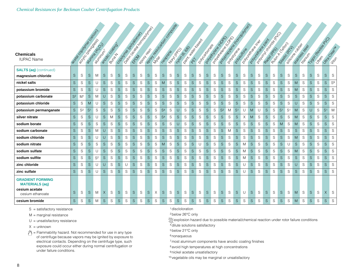|                                                  |                | e de code du Castrolier de Castrolier |                |                                         |               |                 |             | Designation of Department<br>Codomic documentation |             |               |             | Book de de la Concorde de |                |                |               |               |             |                                    |             | Population Rd Data<br>Policitive Report |                |   |                | looking to the cooperation |              | Popular divideo Rica |               |               |                |                                       |             |                                      |              | 1100 reaction and |                |                        |
|--------------------------------------------------|----------------|---------------------------------------|----------------|-----------------------------------------|---------------|-----------------|-------------|----------------------------------------------------|-------------|---------------|-------------|---------------------------|----------------|----------------|---------------|---------------|-------------|------------------------------------|-------------|-----------------------------------------|----------------|---|----------------|----------------------------|--------------|----------------------|---------------|---------------|----------------|---------------------------------------|-------------|--------------------------------------|--------------|-------------------|----------------|------------------------|
| <b>Chemicals</b><br><b>IUPAC Name</b>            |                |                                       |                | a Unita de LOS<br><b>PAULTIER CRIME</b> |               | andococococindo |             |                                                    |             |               |             |                           |                | <b>Looming</b> |               | 2405-6560     |             | Doplar Maria Basica<br>I Donovador |             |                                         |                |   |                | l Doubleton British        |              | Population of Paint  |               | Rubbert Clapp |                | a sittle de reciber<br>Oziección (AZ) |             | oz indiana osean<br><b>Hitleride</b> |              |                   |                | Urtes Clear H<br>Jiton |
| <b>SALTS (aq)</b> (continued)                    |                |                                       |                |                                         |               |                 |             |                                                    |             |               |             |                           |                |                |               |               |             |                                    |             |                                         |                |   |                |                            |              |                      |               |               |                |                                       |             |                                      |              |                   |                |                        |
| magnesium chloride                               | S              | $\mathbb S$                           | S              | M                                       | $\mathsf S$   | S               | $\mathsf S$ | S                                                  | S           | S             | S           | S                         | S              | $\mathbf S$    | ${\mathsf S}$ | S             | $\mathsf S$ | S                                  | S           | S                                       | <sub>S</sub>   | S | ${\mathsf S}$  | S                          | $\mathsf S$  | S                    | $\mathsf S$   | S             | S              | S                                     | S           | S                                    | S            | $\mathbf S$       | $\mathbf S$    | S                      |
| nickel salts                                     | <sub>S</sub>   | S                                     | <sub>S</sub>   | U                                       | S             | S               | S           | S                                                  | S           | S             | S.          | S                         | M              | S              | S             | S             | $\mathsf S$ | S                                  | S.          | S                                       | S              | S | S              | S                          | S.           | S                    | ${\mathsf S}$ | S             | S              | S                                     | M           | S                                    | <sub>S</sub> | S                 | S              | S <sup>9</sup>         |
| potassium bromide                                | $\mathsf S$    | S                                     | S              | U                                       | ${\mathsf S}$ | S               | $\mathbf S$ | S                                                  | $\mathsf S$ | S             | S           | S                         | S              | $\mathbb S$    | $\mathbf S$   | S             | $\mathsf S$ | $\mathbb S$                        | $\mathsf S$ | S                                       | S              | S | $\mathsf S$    | S                          | $\mathbf S$  | S                    | $\mathbf S$   | S             | S              | S                                     | M           | S                                    | $\mathsf S$  | $\mathbf S$       | $\mathbf S$    | $\mathbf S$            |
| potassium carbonate                              | $\mathsf{S}^2$ | M <sup>1</sup>                        | $\mathsf S$    | M                                       | U             | S               | $\mathsf S$ | S                                                  | $\mathsf S$ | $\mathbf S$   | $\mathsf S$ | S                         | S              | $\mathbf S$    | ${\mathsf S}$ | ${\mathbb S}$ | $\mathsf S$ | S                                  | $\mathsf S$ | $\mathbf S$                             | $\mathsf S$    | S | ${\mathsf S}$  | $\mathsf S$                | $\mathsf S$  | S                    | ${\mathsf S}$ | S             | ${\mathsf S}$  | $\mathbf S$                           | $\mathsf S$ | S                                    | $\mathsf S$  | ${\mathsf S}$     | $\mathbf S$    | S                      |
| potassium chloride                               | S              | S                                     | M              | U                                       | S             | S               | $\mathsf S$ | S                                                  | S           | S             | S           | S                         | S              | $\mathbb S$    | ${\mathsf S}$ | S             | S           | S                                  | S.          | S                                       | S              | S | ${\mathsf S}$  | S                          | $\mathsf S$  | S                    | ${\mathsf S}$ | S             | S              | S                                     | U           | S                                    | S            | S                 | $\mathbf S$    | S                      |
| potassium permanganate                           | <sub>S</sub>   | S <sup>2</sup>                        | S <sup>1</sup> | S                                       | S             | S               | S           | S                                                  | S           | S             | S           | S                         | S <sup>4</sup> | S              | U             | S             | $\mathsf S$ | S                                  | S.          | S                                       | S <sup>2</sup> | M | S <sup>1</sup> | U                          | M            | U                    | S             | S             | S <sup>1</sup> | S <sup>1</sup>                        | M           | S                                    | U            | S                 | S <sup>1</sup> | M                      |
| silver nitrate                                   | <sub>S</sub>   | S                                     | S              | U                                       | $\mathsf S$   | M               | S           | S                                                  | $\mathsf S$ | S             | $\mathsf S$ | $\mathbb S$               | S <sup>4</sup> | S              | $\mathsf S$   | S             | $\mathsf S$ | S                                  | $\mathsf S$ | S                                       | $\mathsf S$    | S | $\mathsf S$    | Χ                          | M            | S                    | $\mathsf S$   | S             | $\mathsf S$    | S                                     | M           | S                                    | <sub>S</sub> | $\mathbf S$       | $\mathsf S$    | S                      |
| sodium borate                                    | <sub>S</sub>   | S                                     | S              | $\mathbb S$                             | S             | S               | $\mathsf S$ | S                                                  | S           | S             | S.          | S                         | S              | $\mathbb S$    | U             | S             | $\mathsf S$ | S                                  | $\mathsf S$ | S                                       | $\mathsf S$    | S | $\mathsf S$    | S                          | S            | S                    | $\mathsf S$   | S             | M              | S                                     | M           | S                                    | S            | S                 | $\mathsf S$    | S                      |
| sodium carbonate                                 | S              | S                                     | S              | M                                       | U             | S               | $\mathsf S$ | S                                                  | $\mathsf S$ | ${\mathsf S}$ | S           | $\mathbb S$               | $\mathsf S$    | $\mathbb S$    | $\mathsf S$   | $\mathbb S$   | $\mathsf S$ | S                                  | $\mathsf S$ | $\mathbb S$                             | S              | M | S              | S                          | $\mathsf S$  | S                    | $\mathsf S$   | S             | $\mathsf S$    | S                                     | $\mathsf S$ | S                                    | $\mathsf S$  | S                 | $\mathsf S$    | S                      |
| sodium chloride                                  | S              | S                                     | S              | U                                       | U             | S               | $\mathsf S$ | S                                                  | S           | S             | S.          | S                         | S              | S              | S             | S             | $\mathsf S$ | S                                  | S.          | S                                       | S              | S | $\mathsf S$    | S                          | $\mathsf S$  | S                    | $\mathsf S$   | S             | S              | S                                     | M           | S                                    | S            | S                 | $\mathbf S$    | S                      |
| sodium nitrate                                   | S              | S                                     | S              | $\mathbb S$                             | ${\mathsf S}$ | S               | $\mathsf S$ | S                                                  | S           | S             | S           | S                         | M              | S              | ${\mathsf S}$ | S             | $\mathsf S$ | U                                  | $\mathsf S$ | S                                       | S              | S | $\mathsf S$    | M                          | S            | S                    | $\mathsf S$   | S             | S              | U                                     | $\mathsf S$ | S                                    | <sub>S</sub> | S                 | $\mathbf S$    | S                      |
| sodium sulfate                                   | S              | S                                     | S              | U                                       | S             | S               | $\mathsf S$ | S                                                  | S           | S             | $\mathsf S$ | S                         | S              | $\mathbb S$    | $\mathsf S$   | S             | $\mathsf S$ | S                                  | $\mathsf S$ | S                                       | $\mathsf S$    | S | ${\mathsf S}$  | M                          | <sub>S</sub> | S                    | ${\mathsf S}$ | S             | S              | S                                     | M           | S                                    | $\mathsf S$  | $\mathbf S$       | $\mathsf S$    | S                      |
| sodium sulfite                                   | S              | S                                     | $\mathsf S$    | $\mathbb{S}^2$                          | ${\mathsf S}$ | S               | $\mathsf S$ | S                                                  | $\mathsf S$ | ${\mathsf S}$ | S           | S                         | $\mathsf S$    | $\mathbb S$    | ${\mathsf S}$ | $\mathbb S$   | $\mathsf S$ | $\mathbb S$                        | $\mathsf S$ | $\mathbb S$                             | S              | S | ${\mathsf S}$  | M                          | $\mathsf S$  | S                    | ${\mathsf S}$ | S             | S              | S                                     | S           | S                                    | $\mathsf S$  | $\mathbf S$       | $\mathsf S$    | S                      |
| zinc chloride                                    | S              | S                                     | $\mathsf S$    | U                                       | U             | S               | $\mathsf S$ | U                                                  | S           | ${\mathsf S}$ | S           | S                         | S              | S              | ${\mathsf S}$ | S             | $\mathsf S$ | S                                  | S.          | S                                       | S              | S | ${\mathsf S}$  | U                          | $\mathsf S$  | S                    | ${\mathsf S}$ | S             | S              | S                                     | U           | S                                    | $\mathsf S$  | S                 | $\mathbf S$    | S                      |
| zinc sulfate                                     | S              | S                                     | <sub>S</sub>   | U                                       | <sub>S</sub>  | S               | S           | S                                                  | S           | S             | S.          | S                         | <sub>S</sub>   | S              | S             | S             | S           | S                                  | S.          | S                                       | <sub>S</sub>   | S | S              | U                          | S            | S                    | <sub>S</sub>  | S             | <sub>S</sub>   | S                                     | S           | S                                    | <sub>S</sub> | S                 | S.             | S.                     |
| <b>GRADIENT FORMING</b><br><b>MATERIALS (aq)</b> |                |                                       |                |                                         |               |                 |             |                                                    |             |               |             |                           |                |                |               |               |             |                                    |             |                                         |                |   |                |                            |              |                      |               |               |                |                                       |             |                                      |              |                   |                |                        |
| cesium acetate<br>cesium ethanoate               | S              | S                                     | S              | M                                       | X             | S               | S           | S                                                  | S           | S             | S           | X                         | S              | $\mathbb S$    | ${\mathsf S}$ | S             | S           | S                                  | S.          | S                                       | <sub>S</sub>   | S | S              | U                          | S            | S                    | S             | S             | S              | S                                     | M           | S                                    | S            | S                 | $\sf X$        | S                      |
| cesium bromide                                   | S.             | S                                     | S              | M                                       | S             | S               | S           | S                                                  | S           | S             | S           | S                         | <sub>S</sub>   | S              | S             | S             | S           | S                                  | S.          | S                                       | <sub>S</sub>   | S | <sub>S</sub>   | S                          | S            | S                    | S             | S             | <sub>S</sub>   | S                                     | M           | S                                    | <sub>S</sub> | S                 | $\mathsf S$    | S                      |

M = marginal resistance

 $U =$  unsatisfactory resistance

 $X =$  unknown

 $\mathcal{O}$  = Flammability hazard. Not recommended for use in any type of centrifuge because vapors may be ignited by exposure to electrical contacts. Depending on the centrifuge type, such exposure could occur either during normal centrifugation or under failure conditions.

1discloloration

2below 26°C only

explosion hazard due to possible material/chemical reaction under rotor failure conditions <sup>4</sup>dilute solutions satisfactory 3

5below 21°C only

<sup>6</sup> nonaqueous

7most aluminum components have anodic coating finishes

<sup>8</sup> avoid high temperatures at high concentrations

9 nickel acetate unsatisfactory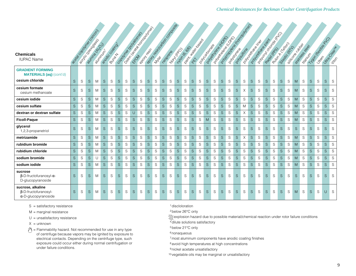| <b>Chemicals</b><br><b>IUPAC Name</b>                                           |              |             | I Regional Days (Second)<br>active de Loyd | <b>Processingly</b> |              | andoccococition<br><b>POUTER</b> |              | Designation of Department<br>Codomic degradores |              |   |             |             |              | Book to the Motor Cococociation<br><b>Looty</b> RPO |              | Daily Maritime Base<br>24/05/65/67 |              | l Dorcatogrape |             |   | Population Road R. | Policing Manufacturity of Manufacturity<br>I Don't River de Disponsibilité du |              |   |              | Population creek<br>Polyderate Railway<br>l Doubleton British |               | A RIVOTA (CEDED) |             | · Silicope City des<br>Sized Crazy |              | Stripegg Street<br>Elfornity R |              | 1200 metabolis 2010 |              | Utrac Clear H<br>$324 - 1$ |
|---------------------------------------------------------------------------------|--------------|-------------|--------------------------------------------|---------------------|--------------|----------------------------------|--------------|-------------------------------------------------|--------------|---|-------------|-------------|--------------|-----------------------------------------------------|--------------|------------------------------------|--------------|----------------|-------------|---|--------------------|-------------------------------------------------------------------------------|--------------|---|--------------|---------------------------------------------------------------|---------------|------------------|-------------|------------------------------------|--------------|--------------------------------|--------------|---------------------|--------------|----------------------------|
| <b>GRADIENT FORMING</b><br><b>MATERIALS (aq)</b> (cont'd)<br>cesium chloride    | S            | S           | $\mathsf S$                                | M                   | S            | S                                | S            | S                                               | S            | S | $\mathbf S$ | S           | S            | S                                                   | S            | S                                  | $\mathsf S$  | S              | $\mathsf S$ | S | S                  | S                                                                             | <sub>S</sub> | S | S            | S                                                             | ${\mathsf S}$ | S                | $\mathsf S$ | S                                  | M            | S                              | S            | S                   | $\mathsf S$  | S                          |
| cesium formate<br>cesium methanoate                                             | S            | S           | S                                          | M                   | S            | S                                | S.           | S                                               | S            | S | $\mathbf S$ | S           | S            | S                                                   | S            | S                                  | $\mathsf S$  | S              | S           | S | S                  | S                                                                             | <sub>S</sub> | X | S            | $\mathsf S$                                                   | $\mathsf S$   | S                | S           | S                                  | M            | S                              | S            | S                   | S            | S                          |
| cesium iodide                                                                   | $\mathsf S$  | S           | $\mathsf S$                                | M                   | S            | S                                | $\mathsf S$  | S                                               | S            | S | $\mathsf S$ | S           | S            | S                                                   | S.           | S                                  | $\mathsf S$  | S              | S           | S | ${\mathsf S}$      | S                                                                             | S            | S | S            | S                                                             | S             | S                | S           | S                                  | M            | S                              | S            | S                   | $\mathsf S$  | S                          |
| cesium sulfate                                                                  | S.           | $\mathbb S$ | S                                          | M                   | S            | S                                | $\mathsf S$  | S                                               | S            | S | S.          | S           | $\mathsf S$  | S                                                   | S.           | S                                  | $\mathsf S$  | ${\mathsf S}$  | S           | S | S                  | S                                                                             | $\mathsf S$  | M | S            | S                                                             | S             | S                | S           | S                                  | M            | S                              | S            | S                   | S.           | S                          |
| dextran or dextran sulfate                                                      | $\mathsf S$  | $\mathbb S$ | $\mathsf S$                                | M                   | $\mathsf S$  | $\mathsf S$                      | S            | S                                               | $\cup$       | S | $\mathsf S$ | $\mathbb S$ | $\mathsf S$  | S                                                   | S.           | $\mathsf S$                        | S            | S              | $\mathsf S$ | S | S                  | S                                                                             | <sub>S</sub> | X | S            | $\mathsf S$                                                   | $\mathsf S$   | S                | $\mathsf S$ | S                                  | M            | S                              | S            | S                   | <sub>S</sub> | S                          |
| <b>Ficoll-Paque</b>                                                             | <sub>S</sub> | S           | S                                          | M                   | S            | S                                | S.           | S                                               | S            | S | $\mathbf S$ | S           | <sub>S</sub> | S                                                   | S.           | S                                  | S            | S              | M           | S | S                  | S                                                                             | S.           | S | S            | S                                                             | $\mathsf S$   | S                | S           | S                                  | M            | S                              | <sub>S</sub> | S                   | $\mathsf S$  | S                          |
| glycerol<br>1,2,3-propanetriol                                                  | S            | S           | S                                          | M                   | <sub>S</sub> | S                                | S            | S                                               | <sub>S</sub> | S | S           | S           | S            | S                                                   | <sub>S</sub> | S                                  | S            | S              | S           | S | <sub>S</sub>       | S                                                                             | <sub>S</sub> | S | <sub>S</sub> | S                                                             | <sub>S</sub>  | S                | S           | S                                  | <sub>S</sub> | S                              | S            | S                   | <sub>S</sub> | S.                         |
| metrizamide                                                                     | $\mathsf S$  | S           | S                                          | M                   | S            | S                                | S.           | S                                               | S            | S | S           | S           | S            | S                                                   | S.           | S                                  | S            | S              | S           | S | S                  | S                                                                             | <sub>S</sub> | X | S            | S                                                             | S             | S                | S           | S                                  | M            | S                              | S            | S                   | $\mathsf S$  | S                          |
| rubidium bromide                                                                | S.           | S           | S                                          | M                   | <sub>S</sub> | S                                | S.           | S                                               | S            | S | S.          | S           | $\mathsf S$  | S                                                   | S.           | S                                  | <sub>S</sub> | S              | $\mathbf S$ | S | S                  | S                                                                             | <sub>S</sub> | S | S            | $\mathsf S$                                                   | S             | S                | S           | S                                  | M            | S                              | <sub>S</sub> | S                   | <sub>S</sub> | S                          |
| rubidium chloride                                                               | S            | S           | S                                          | M                   | S            | S                                | S            | S                                               | S            | S | S           | S           | S            | S                                                   | S.           | S                                  | S            | S              | $\mathsf S$ | S | S                  | S                                                                             | <sub>S</sub> | S | S            | S                                                             | S             | S                | S           | S                                  | M            | S                              | S            | S                   | <sub>S</sub> | S                          |
| sodium bromide                                                                  | S            | S           | S                                          | U                   | <sub>S</sub> | S                                | <sub>S</sub> | S                                               | S            | S | $\mathsf S$ | S           | <sub>S</sub> | S                                                   | S.           | S                                  | S            | S              | S           | S | <sub>S</sub>       | S                                                                             | <sub>S</sub> | S | S            | S                                                             | <sub>S</sub>  | S                | S           | S                                  | M            | S                              | <sub>S</sub> | S                   | <sub>S</sub> | S                          |
| sodium iodide                                                                   | S.           | S           | S                                          | M                   | <sub>S</sub> | S                                | $\mathsf S$  | S                                               | <sub>S</sub> | S | S           | S           | <sub>S</sub> | S                                                   | S.           | S                                  | S            | S              | S.          | S | S                  | S                                                                             | S.           | S | <sub>S</sub> | S                                                             | S             | S                | S.          | S                                  | M            | S                              | <sub>S</sub> | S                   | <sub>S</sub> | S.                         |
| sucrose<br>$\beta$ -D-fructofuranosyl- $\alpha$ -<br>D-glucopyranoside          | S            | S           | S                                          | M                   | <sub>S</sub> | S                                | S            | S                                               | S            | S | S           | S           | S            | S                                                   | S.           | S                                  | S            | S              | S           | S | S                  | S                                                                             | <sub>S</sub> | S | <sub>S</sub> | S                                                             | $\mathsf S$   | S                | S           | S                                  | S.           | S                              | <sub>S</sub> | S                   | S            | S                          |
| sucrose, alkaline<br>$\beta$ -D-fructofuranosyl-<br>$\alpha$ -D-glucopyranoside | <sub>S</sub> | S           | S                                          | M                   | <sub>S</sub> | S                                | S            | S                                               | S            | S | S           | S           | S            | S                                                   | <sub>S</sub> | S                                  | S            | S              | S           | S | <sub>S</sub>       | S                                                                             | S            | S | <sub>S</sub> | S                                                             | <sub>S</sub>  | S                | S           | S                                  | M            | S                              | <sub>S</sub> | S                   | U            | S                          |

M = marginal resistance

 $U =$  unsatisfactory resistance

 $X =$  unknown

= Flammability hazard. Not recommended for use in any type of centrifuge because vapors may be ignited by exposure to electrical contacts. Depending on the centrifuge type, such exposure could occur either during normal centrifugation or under failure conditions.

#### 1discloloration

2below 26°C only

explosion hazard due to possible material/chemical reaction under rotor failure conditions 3

4dilute solutions satisfactory

5below 21°C only

<sup>6</sup> nonaqueous

7most aluminum components have anodic coating finishes

<sup>8</sup> avoid high temperatures at high concentrations

<sup>9</sup> nickel acetate unsatisfactory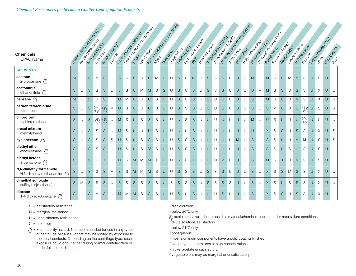#### *Chemical Resistances for Beckman Coulter Centrifugation Products*

| <b>Chemicals</b><br><b>IUPAC Name</b>            | Beautiful Ceptar |   |              | Pulitika R.P.O.B.<br><b>Particularly</b> |              | Broccocococity<br><b>BUTAR</b> |   | Designation of Doctor Road<br>Codomic degradosition |        |   | Book to the Motor Concrete |   |    |   | <b>Hoody River</b> | Davis Haven Back<br>2406-6.66 |              | I PONTON BOOM |        | Policitive Richard Rich |              | A Dostreament of Doc |        | looking to the cooperation<br>A Doubleton British |             | Popular checke<br>Polyderation River |             | Rubor (Capon |          | S Filippoor R CLUBOS<br>Oileger (RT) |              | Stripegg organ<br><b>Hitler Hitch</b> |        | 11 doctrice as de PO |        | Jitracleating<br>Jitos |
|--------------------------------------------------|------------------|---|--------------|------------------------------------------|--------------|--------------------------------|---|-----------------------------------------------------|--------|---|----------------------------|---|----|---|--------------------|-------------------------------|--------------|---------------|--------|-------------------------|--------------|----------------------|--------|---------------------------------------------------|-------------|--------------------------------------|-------------|--------------|----------|--------------------------------------|--------------|---------------------------------------|--------|----------------------|--------|------------------------|
| <b>SOLVENTS</b>                                  |                  |   |              |                                          |              |                                |   |                                                     |        |   |                            |   |    |   |                    |                               |              |               |        |                         |              |                      |        |                                                   |             |                                      |             |              |          |                                      |              |                                       |        |                      |        |                        |
| acetone<br>2-propanone $\sqrt[6]{\ }$            | M                | U | S            | M                                        | <sub>S</sub> | U                              | S | S                                                   | S      | U | U                          | M | U  | U | S                  | U                             | M            | U             | S.     | S                       | S            | U                    | U      | U                                                 | M           | U                                    | M           | S            | U        | M                                    | M            | S                                     | U      | S                    | U      | U                      |
| acetonitrile<br>ethanenitrile                    | S                | U | <sub>S</sub> | S                                        | S            | U                              | S | S                                                   | $\cup$ | M | M                          | S | S. | U | <sub>S</sub>       | U                             | S            | U             | S.     | S                       | S            | U                    | U      | U                                                 | $\cup$      | M                                    | M           | S            | S.       | S                                    | S            | S                                     | U      | $\times$             | U      | $\cup$                 |
| benzene (*)                                      | M                | U | S            | S                                        | S            | U                              | U | M                                                   | $\cup$ | U | U                          | S | U  | U | $\mathsf S$        | U                             | $\mathbf S$  | U             | U      | U                       | U            | U                    | U      | U                                                 | $\mathsf S$ | U                                    | M           | S            | U        | U                                    | M            | S                                     | U      | Χ                    | $\cup$ | S                      |
| carbon tetrachloride<br>tetrachloromethane       | S.               | U | <sub>S</sub> | 燚                                        | 淡            | M                              | U | S                                                   | U      | U | U                          | S | U  | U | S                  | S                             | S            | U             | U      | U                       | U            | U                    | S      | U                                                 | S           | U                                    | S.          | M            | U        | U                                    | $\cup$       | 燚                                     | U      | S                    | U      | S                      |
| chloroform<br>trichloromethane                   | S                | U | S            |                                          | 幾幾           | U                              | M | S                                                   | U      | S | <sub>S</sub>               | S | U  | U | U                  | S                             | S            | U             | $\cup$ | U                       | U            | U                    | U      | U                                                 | M           | U                                    | U           | S            | U        | U                                    | U            | 燚                                     | U      | U                    | $\cup$ | $\cup$                 |
| cresol mixture<br>methylphenol                   | S.               | U | S            | S                                        | S            | U                              | M | S                                                   | U      | U | U                          | S | U  | U | U                  | U                             | S            | U             | U      | U                       | U            | U                    | U      | U                                                 | U           | U                                    | X           | S            | S.       | U                                    | S            | S                                     | U      | $\times$             | U      | S                      |
| cyclohexane $\sqrt[6]{ }$                        | S                | U | S            | ${\mathsf S}$                            | S            | S                              | U | S                                                   | $\cup$ | S | $\mathsf S$                | S | U  | U | $\mathsf S$        | S                             | $\mathsf S$  | U             | U      | U                       | $\cup$       | U                    | M      | U                                                 | $\mathsf S$ | U                                    | $\mathsf S$ | S            | U        | $\cup$                               | M            | M                                     | $\cup$ | S                    | $\cup$ | S                      |
| diethyl ether<br>ethoxyethane $\sqrt[4]{}$       | S                | U | S            | S                                        | S            | U                              | U | S                                                   | $\cup$ | S | S <sup>2</sup>             | S | U  | U | S                  | S                             | $\mathsf S$  | U             | U      | U                       | U            | U                    | U      | U                                                 | S           | U                                    | S           | S            | U        | S                                    | U            | S                                     | U      | S                    | U      | U                      |
| diethyl ketone<br>3-pentanone (                  | S                | U | S            | S                                        | $\times$     | U                              | M | S                                                   | M      | M | M                          | X | U  | U | S                  | U                             | X            | U             | U      | U                       | M            | U                    | U      | U                                                 | S           | U                                    | M           | S            | $\times$ | U                                    | M            | S                                     | U      | S                    | U      | U                      |
| N,N-dimethylformamide<br>N,N-dimethylmethanamide | S                | U | S            | S                                        | S            | M                              | S | S                                                   | M      | M | M                          | S | U  | U | S                  | S                             | $\mathsf S$  | U             | S      | S                       | S            | U                    | $\cup$ | U                                                 | $\mathsf S$ | U                                    | $\times$    | S            | S.       | M                                    | S            | S                                     | U      | X                    | $\cup$ | $\cup$                 |
| dimethyl sulfoxide<br>sulfinylbis[methane]       | S.               | M | S            | S                                        | S            | U                              | S | S                                                   | S      | S | S                          | S | U  | S | S                  | S                             | <sub>S</sub> | U             | S      | S                       | S            | S                    | $\cup$ | U                                                 | S           | U                                    | X           | S            | U        | S                                    | S            | S                                     | U      | X                    | $\cup$ | U                      |
| dioxane<br>1,4-dioxacyclohexane                  | S.               | U | <sub>S</sub> | M                                        | S            | U                              | M | M                                                   | M      | S | <sub>S</sub>               | S | U  | U | S                  | U                             | S            | U             | U      | U                       | <sub>S</sub> | U                    | U      | U                                                 | S           | U                                    | $\times$    | S            | S.       | U                                    | <sub>S</sub> | S                                     | U      | $\times$             | U      | U                      |

S = satisfactory resistance

M = marginal resistance

 $U =$  unsatisfactory resistance

 $X =$  unknown

= Flammability hazard. Not recommended for use in any type of centrifuge because vapors may be ignited by exposure to electrical contacts. Depending on the centrifuge type, such exposure could occur either during normal centrifugation or under failure conditions.

1discloloration

2below 26°C only

explosion hazard due to possible material/chemical reaction under rotor failure conditions 3

4dilute solutions satisfactory

5below 21°C only

<sup>6</sup> nonaqueous

7most aluminum components have anodic coating finishes

<sup>8</sup> avoid high temperatures at high concentrations

<sup>9</sup> nickel acetate unsatisfactory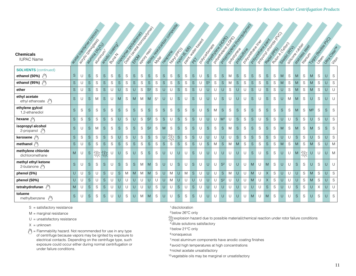|                                                            |              | I assigned the control control of |                 |   |                                     |               | Codomic degrados |             | Deliver Register Doctors Register |   |                |                | Adolf Maria Concretigation |             |                 |                                          |             |                  |                |                                              |                |   |              | laguage to transportation |              | Popular chicago    |              |              |             |                                    |              |                                    |                |          |                 |                        |
|------------------------------------------------------------|--------------|-----------------------------------|-----------------|---|-------------------------------------|---------------|------------------|-------------|-----------------------------------|---|----------------|----------------|----------------------------|-------------|-----------------|------------------------------------------|-------------|------------------|----------------|----------------------------------------------|----------------|---|--------------|---------------------------|--------------|--------------------|--------------|--------------|-------------|------------------------------------|--------------|------------------------------------|----------------|----------|-----------------|------------------------|
| <b>Chemicals</b><br><b>IUPAC Name</b>                      |              |                                   | autrice de 2013 |   | andocco castro<br><b>PASTRATION</b> | <b>POUTER</b> |                  |             |                                   |   |                |                |                            |             | <b>LootingO</b> | I Dispite the deck of Dispon<br>2406.650 |             | I POI CONDO ROAD |                | Population Road River<br>A Dollard River Day |                |   |              | <b>I Dollard Branch</b>   |              | Doubles de Reigier |              | Rubor (Capo) |             | A Silicope Richard<br>Sizectic (A) |              | SHATOS SASSION<br><b>HOOTELSTS</b> |                |          | Toponeestage PD | Utrac Clear H<br>Jitos |
| <b>SOLVENTS</b> (continued)<br>ethanol (50%) $\sqrt[6]{ }$ | S            | U                                 | ${\mathsf S}$   | S | S                                   | S             | S                | S           | S                                 | S | S              | S              | ${\mathsf S}$              | S           | S               | S                                        | S.          | U                | S              | S                                            | S              | M | S            | S                         | S            | S                  | S            | S            | M           | S                                  | M            | S                                  | M              | S        | U               | S                      |
| ethanol (95%) $\sqrt[6]{ }$                                | $\mathsf S$  | U                                 | ${\mathsf S}$   | S | S                                   | S             | S.               | S           | S                                 | S | S              | S              | ${\mathsf S}$              | S           | S               | S                                        | S.          | U                | S <sub>5</sub> | S                                            | $\mathsf S$    | M | <sub>S</sub> | S                         | <sub>S</sub> | S                  | S            | S            | M           | S                                  | M            | S                                  | M              | S        | U               | S                      |
| ether                                                      | $\mathsf S$  | U                                 | $\mathsf S$     | S | S                                   | U             | U                | S           | U                                 | S | S <sup>2</sup> | S              | $\cup$                     | U           | S               | $\mathsf S$                              | S           | U                | U              | U                                            | $\cup$         | S | U            | U                         | <sub>S</sub> | U                  | S            | S            | $\cup$      | S                                  | M            | S                                  | M              | S        | $\cup$          | $\cup$                 |
| ethyl acetate<br>ethyl ethanoate (                         | S            | U                                 | $\mathsf S$     | M | S                                   | U             | M                | S           | M                                 | M | M              | S <sup>1</sup> | U                          | U           | S               | U                                        | S.          | U                | U              | U                                            | S              | U | U            | U                         | S            | U                  | S            | S            | U           | M                                  | M            | S                                  | U              | S        | U               | U                      |
| ethylene gylcol<br>1,2-ethanediol                          | <sub>S</sub> | S                                 | $\mathsf S$     | S | S                                   | S             | S                | S           | S.                                | S | S              | S              | $\mathsf S$                | $\mathsf S$ | S               | S                                        | S.          | U                | <sub>S</sub>   | M                                            | S              | S | S            | S                         | <sub>S</sub> | S                  | S            | S            | $\mathsf S$ | S                                  | M            | S                                  | M <sup>5</sup> | S        | <sub>S</sub>    | S                      |
| hexane $\sqrt[6]{3}$                                       | $\mathsf S$  | $\mathbf S$                       | $\mathsf S$     | S | $\mathsf S$                         | S             | U                | $\mathbb S$ | U                                 | S | $\mathsf{S}^2$ | S              | ${\mathsf S}$              | U           | $\mathsf S$     | S                                        | S           | U                | $\cup$         | U                                            | M <sup>1</sup> | U | $\mathsf S$  | S                         | $\mathsf S$  | U                  | $\mathsf S$  | S            | U           | U                                  | S            | S                                  | U              | S        | $\cup$          | S                      |
| isopropyl alcohol<br>2-propanol $\sqrt[4]{\sqrt[4]{}}$     | S            | U                                 | ${\mathsf S}$   | M | S                                   | S             | $\mathsf S$      | S           | S.                                | S | $\mathsf{S}^2$ | S              | M                          | S           | S               | S                                        | S.          | U                | $\mathsf S$    | S                                            | $\mathsf S$    | M | $\mathsf S$  | S                         | S            | S                  | $\mathsf S$  | S            | M           | S                                  | M            | S                                  | M              | S        | $\mathsf S$     | S                      |
| kerosene $\sqrt[6]{3}$                                     | <sub>S</sub> | S                                 | ${\mathsf S}$   | S | S                                   | S             | U                | S           | U                                 | S | $\mathsf S$    | S              | U                          | 繇           | $\mathsf S$     | S                                        | $\mathsf S$ | U                | $\cup$         | U                                            | $\cup$         | U | S            | S                         | S            | S                  | <sub>S</sub> | S            | U           | U                                  | S            | S                                  | U              | S        | U               | S                      |
| methanol $\sqrt[6]{3}$                                     | $\mathsf S$  | U                                 | $\mathsf S$     | S | S                                   | S             | $\mathsf S$      | S           | S.                                | S | $\mathsf S$    | S              | $\mathsf S$                | S           | $\mathsf S$     | S                                        | S.          | U                | $\mathsf S$    | M                                            | $\mathsf S$    | M | M            | S                         | S            | S                  | $\mathsf S$  | S            | M           | S                                  | M            | S                                  | M              | S        | U               | M                      |
| methylene chloride<br>dichloromethane                      | M            | U                                 | $\mathsf S$     | 燚 | $\frac{1}{235}$                     |               | U                | S           | U                                 | S | S              | S              | U                          | U           | U               | U                                        | S.          | U                | U              | U                                            | U              | U | U            | U                         | S            | U                  | <sub>S</sub> | S            | U           | U                                  | M            | 豫                                  | U              | U        | U               | M                      |
| methyl ethyl ketone<br>2-butanone                          | S            | U                                 | ${\mathsf S}$   | S | S                                   | $\cup$        | S                | S           | S                                 | M | M              | S              | U                          | U           | S               | U                                        | S.          | $\cup$           | U              | U                                            | S <sup>2</sup> | U | U            | U                         | M            | U                  | M            | S            | U           | $\cup$                             | S            | S                                  | U              | S        | U               | $\cup$                 |
| phenol (5%)                                                | $\cup$       | U                                 | $\mathsf S$     | U | $\mathbf S$                         | U             | $\mathsf S$      | M           | M                                 | M | M              | S              | U                          | M           | U               | M                                        | S.          | U                | U              | U                                            | $\mathbf S$    | M | U            | U                         | M            | U                  | $\times$     | S            | $\cup$      | U                                  | $\cup$       | S                                  | M              | S        | U               | S                      |
| phenol (50%)                                               | U            | U                                 | ${\mathsf S}$   | U | S                                   | U             | U                | U           | U                                 | U | U              | U              | U                          | M           | U               | U                                        | U           | U                | U              | U                                            | S <sup>2</sup> | U | U            | U                         | M            | U                  | $\times$     | $\mathbf S$  | U           | U                                  | U            | S                                  | M              | S        | U               | S                      |
| tetrahydrofuran (1)                                        | M            | U                                 | ${\mathsf S}$   | S | S                                   | $\cup$        | U                | U           | $\cup$                            | U | U              | S              | U                          | U           | S               | U                                        | S           | U                | U              | U                                            | $\cup$         | U | U            | U                         | $\cup$       | $\cup$             | <sub>S</sub> | S            | U           | U                                  | S.           | S                                  | U              | $\times$ | $\cup$          | U                      |
| toluene<br>$\mathcal{P}^{\mathcal{A}}$<br>methylbenzene    | S            | U                                 | S               | S | S                                   | U             | U                | S           | U                                 | M | M              | S              | U                          | U           | <sub>S</sub>    | S                                        | S.          | U                | U              | U                                            | U              | U | U            | U                         | M            | U                  | M            | S            | U           | U                                  | <sub>S</sub> | S                                  | U              | S        | U               | S                      |

M = marginal resistance

 $U =$  unsatisfactory resistance

 $X =$  unknown

 $\sqrt[4]{}$  = Flammability hazard. Not recommended for use in any type of centrifuge because vapors may be ignited by exposure to electrical contacts. Depending on the centrifuge type, such exposure could occur either during normal centrifugation or under failure conditions.

1discloloration

2below 26°C only

explosion hazard due to possible material/chemical reaction under rotor failure conditions 3

4dilute solutions satisfactory

5below 21°C only

<sup>6</sup> nonaqueous

7most aluminum components have anodic coating finishes

<sup>8</sup> avoid high temperatures at high concentrations

<sup>9</sup> nickel acetate unsatisfactory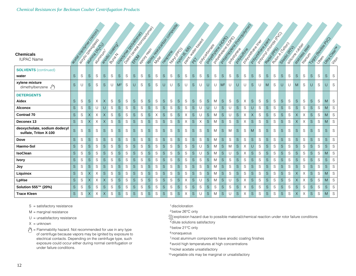| <b>Chemicals</b><br><b>IUPAC Name</b>                 |              | Leges de Damie Recipes |              | autrice of Day<br><b>Partnership</b> |             | andococococión |             | Deixier regions concept region<br>Coolstrategy and Drawing |             |   |               | Book to the day of conception |   |   | 121916.666<br><b>Lootingo</b> |   | Depth - March 2020 |   | I POI CONDO ROAD | Policitive Richard Rich |                | I Donategy ee ee Constitution |               | lagunda Karacaalanaa<br>A Doubleton British |             | Polyderate Religion |             | Popular Joseph Reid<br>Rubert Clapes |              | Ozidoocic (AZ) | S Filippoor R TONDO | OFFICE OS DESIGN |             | 11 door registration |   | Utraccionat<br>Jiton |
|-------------------------------------------------------|--------------|------------------------|--------------|--------------------------------------|-------------|----------------|-------------|------------------------------------------------------------|-------------|---|---------------|-------------------------------|---|---|-------------------------------|---|--------------------|---|------------------|-------------------------|----------------|-------------------------------|---------------|---------------------------------------------|-------------|---------------------|-------------|--------------------------------------|--------------|----------------|---------------------|------------------|-------------|----------------------|---|----------------------|
| <b>SOLVENTS</b> (continued)<br>water                  | S            | S                      | S            | S                                    | $\mathsf S$ | S              | S           | S                                                          | S           | S | S             | S                             | S | S | $\mathsf S$                   | S | $\mathsf S$        | S | S.               | S                       | S              | S                             | ${\mathsf S}$ | S                                           | S           | S                   | S.          | S                                    | <sub>S</sub> | S              | S                   | S                | $\mathsf S$ | S                    | S | S                    |
| xylene mixture<br>dimethylbenzene (                   | S            | U                      | S            | S                                    | S           | U              | $M^2$       | S                                                          | U           | S | S             | S                             | U | U | S                             | U | S                  | U | U                | U                       | M <sup>2</sup> | U                             | U             | U                                           | S           | U                   | M           | S                                    | U            | U              | M                   | S                | U           | S                    | U | S                    |
| <b>DETERGENTS</b><br>Aidex                            | S            | S                      | S            | Χ                                    | X           | S              | S           | S                                                          | S           | S | S             | S                             | S | S | S                             | S | S                  | S | S.               | M                       | S              | S                             | S             | Χ                                           | S           | S                   | S           | S                                    | S            | S              | S                   | S                | S           | S                    | M | S                    |
| <b>Alconox</b>                                        | S            | S                      | S            | U                                    | U           | S              | $\mathsf S$ | S                                                          | $\mathsf S$ | S | S             | S                             | S | S | $\mathsf S$                   | S | $\mathsf S$        | U | U                | U                       | S              | U                             | ${\mathsf S}$ | S                                           | U           | S                   | $\mathsf S$ | S                                    | S.           | S              | $\mathsf S$         | S                | $\mathsf S$ | S                    | M | S                    |
| <b>Contrad 70</b>                                     | $\mathsf S$  | S                      | $\times$     | X                                    | $\times$    | S              | $\mathsf S$ | S                                                          | S           | S | S             | X                             | S | S | S                             | X | $\mathbf S$        | U | S.               | M                       | S              | U                             | $\mathbf S$   | Χ                                           | $\times$    | S                   | S.          | S                                    | S            | S              | X                   | Χ                | $\mathsf S$ | S                    | M | $\mathsf S$          |
| Deconex 13                                            | S            | S                      | $\times$     | X                                    | $\times$    | S              | $\mathsf S$ | S                                                          | S           | S | S             | S                             | S | S | S                             | X | S                  | X | S.               | M                       | S              | S                             | S             | X                                           | S           | S                   | S.          | S                                    | S.           | S              | $\times$            | X                | $\mathsf S$ | S                    | M | S                    |
| deoxycholate, sodium dodecyl<br>sulfate, Triton X-100 | S            | S                      | S            | S                                    | S           | S              | S           | S                                                          | S           | S | S             | S                             | S | S | S                             | S | S                  | S | S.               | M                       | <sub>S</sub>   | M                             | S             | S                                           | M           | S                   | S.          | S                                    | S.           | S              | S                   | S                | S           | S                    | S | S                    |
| Dove                                                  | <sub>S</sub> | S                      | S            | S                                    | $\mathsf S$ | S              | $\mathsf S$ | S                                                          | S           | S | S             | S                             | S | S | S                             | S | $\mathsf S$        | S | S.               | M                       | <sub>S</sub>   | S                             | S             | S                                           | $\mathsf S$ | S                   | S.          | S                                    | S.           | S              | S                   | S                | $\mathsf S$ | S                    | S | S                    |
| Haemo-Sol                                             | S            | S                      | S            | S                                    | S           | S              | $\mathsf S$ | S                                                          | S           | S | S             | S                             | S | S | S                             | S | S                  | U | S.               | M                       | S              | M                             | ${\mathsf S}$ | Χ                                           | U           | S                   | S.          | S                                    | S.           | S              | S                   | S                | $\mathsf S$ | S                    | S | S                    |
| <b>IsoClean</b>                                       | S            | S                      | S            | S                                    | S           | S              | S           | S                                                          | S           | S | S             | S                             | S | S | S                             | S | S                  | U | S.               | M                       | <sub>S</sub>   | U                             | S             | Χ                                           | S           | S                   | S.          | S                                    | S.           | S              | S                   | S                | S           | S                    | M | S                    |
| <b>Ivory</b>                                          | <sub>S</sub> | S                      | <sub>S</sub> | S                                    | $\mathsf S$ | S              | S           | S                                                          | S           | S | ${\mathsf S}$ | S                             | S | S | S                             | S | $\mathsf S$        | S | S.               | M                       | S              | S                             | S             | S                                           | S           | S                   | $\mathsf S$ | S                                    | S.           | S              | S                   | S                | $\mathsf S$ | S                    | S | S                    |
| Joy                                                   | $\mathsf S$  | S                      | S            | S                                    | $\mathsf S$ | S              | $\mathbf S$ | S                                                          | S           | S | ${\mathsf S}$ | S                             | S | S | $\mathsf S$                   | S | $\mathsf S$        | S | S.               | M                       | S              | S                             | ${\mathsf S}$ | S                                           | $\mathsf S$ | S                   | $\mathsf S$ | S                                    | S            | S              | $\mathsf S$         | S                | $\mathbf S$ | S                    | S | S                    |
| Liquinox                                              | $\mathbf S$  | S                      | $\times$     | X                                    | $\mathsf S$ | S              | $\mathsf S$ | S                                                          | S           | S | ${\mathsf S}$ | S                             | S | S | $\mathsf S$                   | S | $\mathsf S$        | S | S.               | M                       | S              | S                             | $\mathbf S$   | S                                           | S           | S                   | $\mathsf S$ | S                                    | S.           | S              | $\times$            | Χ                | $\mathsf S$ | S                    | M | S                    |
| LpHse                                                 | S            | S                      | $\times$     | Χ                                    | X           | S              | $\mathsf S$ | S                                                          | S           | S | S             | S                             | S | S | S                             | Χ | $\mathsf S$        | U | S.               | M                       | S              | U                             | S             | Χ                                           | $\mathsf S$ | S                   | $\mathsf S$ | S                                    | S.           | S              | $\times$            | Χ                | $\mathbf S$ | S                    | M | S                    |
| Solution 555™ (20%)                                   | S            | S                      | S            | S                                    | $\mathsf S$ | S              | $\mathsf S$ | S                                                          | $\mathsf S$ | S | ${\mathsf S}$ | S                             | S | S | $\mathsf S$                   | S | $\mathsf S$        | S | $\mathsf S$      | S                       | S              | S                             | ${\mathsf S}$ | X                                           | $\mathsf S$ | S                   | $\mathsf S$ | S                                    | S            | S              | $\mathsf S$         | S                | $\mathsf S$ | S                    | S | S                    |
| <b>Trace Kleen</b>                                    | S            | S                      | X            | Χ                                    | X           | S              | $\mathsf S$ | S                                                          | S           | S | S             | S                             | S | S | S                             | Χ | S                  | U | S.               | M                       | S              | U                             | S             | Χ                                           | $\mathsf S$ | S                   | S.          | S                                    | S            | S              | $\times$            | Χ                | $\mathsf S$ | S                    | M | S                    |

- M = marginal resistance
- $U =$  unsatisfactory resistance
- $X =$  unknown
- = Flammability hazard. Not recommended for use in any type of centrifuge because vapors may be ignited by exposure to electrical contacts. Depending on the centrifuge type, such exposure could occur either during normal centrifugation or under failure conditions.
- 1discloloration
- 2below 26°C only

explosion hazard due to possible material/chemical reaction under rotor failure conditions 3

- 4dilute solutions satisfactory
- 5below 21°C only
- <sup>6</sup> nonaqueous
- 7most aluminum components have anodic coating finishes
- <sup>8</sup> avoid high temperatures at high concentrations
- <sup>9</sup> nickel acetate unsatisfactory
- <sup>10</sup> vegetable oils may be marginal or unsatisfactory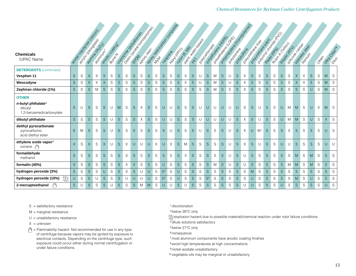| <b>Chemicals</b><br><b>IUPAC Name</b>                                 |              | Beech company of Colorador |             | Pulitike R.P. (2019)<br>a distribution | andococococión | <b>POUTER</b> |             | Dealer Report of Doomfort<br>Codomic degradons of |              |             |        |   | Book to the day of company | <b>Hooping</b> |             | 2405-6.66 | David Maria Basica |   | I Don Concordiale | Population Road River<br>I Done Reel Reel Doc |              | Population (Marchines) |               |   |             | loadstrake de Rich<br>Polyderation Railr<br>A Doubleton British |             |   | River Class<br>Sized Critics |   | S FOR DOCKLADOR | SHATIOS SERIES<br><b>HOONLYSTS</b> |             | Jiesf |              | Urtego Castria |
|-----------------------------------------------------------------------|--------------|----------------------------|-------------|----------------------------------------|----------------|---------------|-------------|---------------------------------------------------|--------------|-------------|--------|---|----------------------------|----------------|-------------|-----------|--------------------|---|-------------------|-----------------------------------------------|--------------|------------------------|---------------|---|-------------|-----------------------------------------------------------------|-------------|---|------------------------------|---|-----------------|------------------------------------|-------------|-------|--------------|----------------|
| <b>DETERGENTS</b> (continued)                                         |              |                            |             |                                        |                |               |             |                                                   |              |             |        |   |                            |                |             |           |                    |   |                   |                                               |              |                        |               |   |             |                                                                 |             |   |                              |   |                 |                                    |             |       |              |                |
| Vesphen 11                                                            | S            | S                          | X           | Χ                                      | X              | S             | S.          | S                                                 | S            | S           | S      | S | S                          | S              | S           | X         | S                  | U | S                 | M                                             | S            | U                      | S             | Χ | S           | S                                                               | S           | S | S                            | S | $\times$        | Χ                                  | S           | S     | M            | S              |
| Wescodyne                                                             | $\mathsf S$  | $\mathbf S$                | $\times$    | X                                      | $\times$       | S             | $\mathsf S$ | S                                                 | S.           | S           | S      | S | S                          | S              | $\mathsf S$ | X         | $\mathsf S$        | U | S                 | Μ                                             | S            | U                      | ${\mathsf S}$ | Χ | $\mathbf S$ | S                                                               | $\mathsf S$ | S | S                            | S | $\times$        | X                                  | $\mathsf S$ | S     | M            | S              |
| Zephiran chloride (1%)                                                | $\mathsf S$  | $\mathbf S$                | $\mathbf S$ | M                                      | $\mathsf S$    | S             | S           | S                                                 | S            | $\mathbf S$ | S      | S | S                          | $\mathbf S$    | $\mathsf S$ | S         | $\mathsf S$        | S | S                 | M                                             | $\mathsf S$  | S                      | $\mathbf S$   | X | $\mathsf S$ | $\mathsf S$                                                     | S           | S | $\mathsf S$                  | S | $\mathsf S$     | S                                  | U           | S     | M            | S              |
| <b>OTHER</b>                                                          |              |                            |             |                                        |                |               |             |                                                   |              |             |        |   |                            |                |             |           |                    |   |                   |                                               |              |                        |               |   |             |                                                                 |             |   |                              |   |                 |                                    |             |       |              |                |
| n-butyl phthalate <sup>6</sup><br>dibutyl<br>1,2-benzenedicarboxylate | S            | U                          | S           | S                                      | S              | U             | M           | S                                                 | S.           | X           | S      | S | U                          | U              | S           | S         | S                  | U | U                 | U                                             | U            | U                      | U             | S | S           | U                                                               | $\times$    | S | $\cup$                       | M | M               | S                                  | U           | Χ     | M            | S              |
| dibutyl phthalate                                                     | S            | $\mathbf S$                | $\mathbf S$ | S                                      | $\mathsf S$    | U             | $\mathsf S$ | S                                                 | <sub>S</sub> | X           | S      | S | $\cup$                     | U              | $\mathbf S$ | S         | $\mathsf S$        | U | $\cup$            | U                                             | U            | U                      | $\mathbf S$   | Χ | S           | U                                                               | S           | S | $\cup$                       | M | M               | S                                  | U           | S     | $\times$     | S              |
| deithyl pyrocarbonate<br>pyrocarbonic<br>acid diethyl ester           | S            | M                          | S           | S                                      | S              | U             | S           | S                                                 | $\times$     | S           | S      | S | S                          | U              | S           | S         | <sub>S</sub>       | U | <sub>S</sub>      | S                                             | S            | U                      | S             | X | U           | M <sup>1</sup>                                                  | S           | S | S                            | S | $\mathsf S$     | S                                  | S           | S     | U            | S              |
| ethylene oxide vapor <sup>6</sup><br>oxirane $\sqrt[3]{\ }$           | $\times$     | S                          | $\times$    | S                                      | $\times$       | U             | S           | $\times$                                          | U            | U           | $\cup$ | X | U                          | X              | S           | M         | <sub>S</sub>       | S | S                 | S                                             | S            | U                      | S             | X | S           | U                                                               | S           | S | $\cup$                       | U | S               | S                                  | S           | S     | $\cup$       | U              |
| formaldehyde<br>methanol                                              | S            | S                          | S           | S                                      | $\mathsf S$    | S             | S.          | S                                                 | <sub>S</sub> | S           | S      | S | S                          | S              | S           | X         | <sub>S</sub>       | S | S                 | S                                             | <sub>S</sub> | U                      | S             |   | S           | S                                                               | S.          | S | S                            | S | M               | S                                  | M           | S     | S            | S              |
| formalin (40%)                                                        | $\times$     | ${\mathsf S}$              | $\mathsf S$ | $\mathbf S$                            | S              | S             | $\mathsf S$ | X                                                 | X            | $\mathbb S$ | S      | S | U                          | S              | $\mathsf S$ | S         | $\mathsf S$        | S | S                 | M                                             | $\mathsf S$  | U                      | $\mathbf S$   | U | S           | $\mathsf S$                                                     | S.          | S | S                            | M | M               | $\mathbf S$                        | M           | S     | S            | S              |
| hydrogen peroxide (3%)                                                | <sub>S</sub> | S                          | $\mathsf S$ | S                                      | $\cup$         | S             | S.          | S                                                 | S.           | U           | U      | S | S <sup>2</sup>             | S              | U           | S         | <sub>S</sub>       | S | <sub>S</sub>      | S                                             | <sub>S</sub> | S                      | S             | S | M           | S                                                               | S.          | S | S                            | S | <sub>S</sub>    | S                                  | S           | S     | <sub>S</sub> | S              |
| 燚<br>hydrogen peroxide (10%)                                          | U            | S                          | S           | U                                      | S              | S             | S.          | U                                                 | U            | U           |        | S | S <sup>2</sup>             | S              | $\cup$      | S         | <sub>S</sub>       | S | S <sup>2</sup>    | S                                             | <sub>S</sub> | S                      | $\mathsf S$   | S | U           | S                                                               | S.          | S | S                            | S | M               | S                                  | U           | S     | S            | S              |
| $\sqrt{2}$<br>2-mercaptoethanol                                       | S            | U                          | $\mathsf S$ | S                                      | $\mathbf S$    |               | S           | S                                                 | S.           | M           | M      | S | U                          | U              | $\mathsf S$ | U         | $\mathsf S$        | S | $\mathsf S$       | S                                             | $\mathsf S$  | S                      | S             |   | U           | S                                                               | X           | S | $\cup$                       | S | $\mathsf S$     | S                                  | $\mathsf S$ | S     | U            | S              |

M = marginal resistance

- $U =$  unsatisfactory resistance
- $X =$  unknown
- = Flammability hazard. Not recommended for use in any type of centrifuge because vapors may be ignited by exposure to electrical contacts. Depending on the centrifuge type, such exposure could occur either during normal centrifugation or under failure conditions.

1discloloration

2below 26°C only

explosion hazard due to possible material/chemical reaction under rotor failure conditions 3

4dilute solutions satisfactory

5below 21°C only

<sup>6</sup> nonaqueous

7most aluminum components have anodic coating finishes

<sup>8</sup> avoid high temperatures at high concentrations

<sup>9</sup> nickel acetate unsatisfactory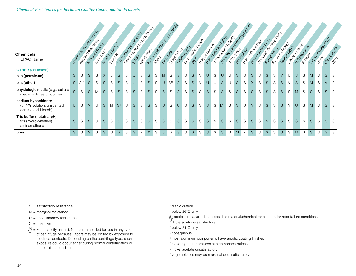#### *Chemical Resistances for Beckman Coulter Centrifugation Products*

| <b>Chemicals</b><br><b>IUPAC Name</b>                                    |        |                   |              | I easy control as comparison<br>action of CALIDA<br><b>Proprietary</b> |              | <b>andocumental</b> |                | I discrete data de la provincia del<br>Capacity Reading Report |              |          | Body to the day of conception<br><b>BOOTH ESS</b> |             |              |                 | 1404-6.66<br><b>HOMERO</b> |   |             | A DISTILLER DECKS<br>Doncontoon River |              | Douglas Report |                | Population (15 companying)<br><b>DOMESTIC ROAD</b> |              | <b>DOM VOID ROAD RD</b> |             |   | Popular Joseph's River<br>Doubleton Brain | Ruson (Capon |    | Silicope Rizage<br>Sizeoiccichi | Stations of Bay | <b>HOOMING</b> |              |   | 1100 registration | United Clear in |
|--------------------------------------------------------------------------|--------|-------------------|--------------|------------------------------------------------------------------------|--------------|---------------------|----------------|----------------------------------------------------------------|--------------|----------|---------------------------------------------------|-------------|--------------|-----------------|----------------------------|---|-------------|---------------------------------------|--------------|----------------|----------------|----------------------------------------------------|--------------|-------------------------|-------------|---|-------------------------------------------|--------------|----|---------------------------------|-----------------|----------------|--------------|---|-------------------|-----------------|
| <b>OTHER</b> (continued)<br>oils (petroleum)                             | S      | S                 | S            | S                                                                      | $\times$     | S                   | S              | S                                                              | U            | S        | <sub>S</sub>                                      | $\mathbb S$ | M            | $\mathsf S$     | $\mathsf S$                | S | S           | M                                     | U            | S              | $\cup$         | U                                                  | S            | S                       | $\mathsf S$ | S | $\mathsf S$                               | S            | M  | U                               | S.              | S              | M            | S | $\mathsf S$       | S               |
| oils (other)                                                             |        | S S <sup>10</sup> | S            | S                                                                      | <sub>S</sub> | S                   | S.             | S                                                              | $\cup$       | S        | S.                                                | S           | $\cup$       | S <sup>10</sup> | <sub>S</sub>               | S | S           | M                                     | U            | U              | <sub>S</sub>   | U                                                  | <sub>S</sub> | S                       | $\times$    | S | S                                         | S            | S. | M                               | <sub>S</sub>    | S              | M            | S | ${\sf M}$         | S               |
| physiologic media (e.g., culture<br>media, milk, serum, urine)           | S      | S                 | <sub>S</sub> | M                                                                      | $\mathsf S$  | S                   | $\mathsf S$    | S                                                              | S            | S        | S.                                                | S           | S.           | S               | $\mathsf S$                | S | $\mathsf S$ | S                                     | S.           | S              | <sub>S</sub>   | S                                                  | $\mathsf S$  | S                       | $\mathsf S$ | S | S                                         | S            | S. | S                               | M               | S              | $\mathbf S$  | S | S                 | S               |
| sodium hypochlorite<br>(5 1/4% solution; unscented<br>commercial bleach) | $\cup$ | S                 | M            | U                                                                      | S            | M                   | S <sup>1</sup> | U                                                              | S            | S        | <sub>S</sub>                                      | S           | U            | S               | U                          | S | S           | S                                     | <sub>S</sub> | $\mathsf S$    | M <sup>4</sup> | S                                                  | S            | U                       | M           | S | S                                         | S            | S. | M                               | $\cup$          | S              | M            | S | S                 | S               |
| Tris buffer (netutral pH)<br>tris (hydroxymethyl)<br>aminomethane        | S      | S                 | S            | U                                                                      | S            | S                   | S              | S                                                              | <sub>S</sub> | S        | S                                                 | $\mathbb S$ | S.           | S               | $\mathsf S$                | S | S           | S                                     | S.           | S              | <sub>S</sub>   | S                                                  | S            | S                       | $\mathsf S$ | S | $\mathsf S$                               | S            | S. | S                               | S               | S              | $\mathbf S$  | S | $\mathsf S$       | S               |
| urea                                                                     | S.     | S                 | S            | S                                                                      | <sub>S</sub> |                     | <sub>S</sub>   | S                                                              | S            | $\times$ | X                                                 | S           | <sub>S</sub> | S               | S                          | S | S           | S                                     | <sub>S</sub> | S              | <sub>S</sub>   | S                                                  | M            | $\times$                | S           | S | S                                         | S            | S. | S                               | M               | S              | <sub>S</sub> | S | S                 | S               |

S = satisfactory resistance

M = marginal resistance

 $U =$  unsatisfactory resistance

 $X =$  unknown

= Flammability hazard. Not recommended for use in any type of centrifuge because vapors may be ignited by exposure to electrical contacts. Depending on the centrifuge type, such exposure could occur either during normal centrifugation or under failure conditions.

1discloloration

2below 26°C only

explosion hazard due to possible material/chemical reaction under rotor failure conditions 3

4dilute solutions satisfactory

5below 21°C only

<sup>6</sup> nonaqueous

7most aluminum components have anodic coating finishes

<sup>8</sup> avoid high temperatures at high concentrations

9 nickel acetate unsatisfactory